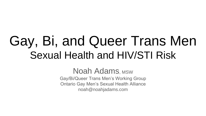# Gay, Bi, and Queer Trans Men Sexual Health and HIV/STI Risk

Noah Adams, MSW Gay/Bi/Queer Trans Men's Working Group Ontario Gay Men's Sexual Health Alliance noah@noahjadams.com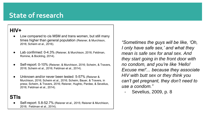## **State of research**

### **HIV+**

- Low compared to cis MSM and trans women, but still many times higher than general population (Reisner, & Murchison, 2016; Scheim et al., 2016).
- Lab confirmed: 0-4.3% (Reisner, & Murchison, 2016; Feldman, Romine, & Bockting, 2014).
- Self-report: 0-10% (Reisner, & Murchison, 2016; Scheim, & Travers, 2016; Scheim et al., 2016; Feldman et al., 2014).
- Unknown and/or never been tested: 5-57% (Reisner & Murchison, 2016; Scheim et al., 2016; Scheim, Bauer, & Travers, in press; Scheim, & Travers, 2016; Reisner, Hughto, Pardee, & Sevelius, 2016; Feldman et al., 2014).

#### **STIs**

Self-report: 5.8-52.7% (Reisner et al., 2015; Reisner & Murchison, 2016; Feldman et al., 2014).

*"Sometimes the guys will be like, 'Oh, I only have safe sex,' and what they mean is safe sex for anal sex. And they start going in the front door with no condom, and you're like 'Hello! Excuse me!'... because they associate HIV with butt sex or they think you can't get pregnant, they don't need to use a condom."*

- Sevelius, 2009, p. 8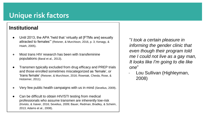#### **Institutional**

- Until 2013, the APA "held that 'virtually all [FTMs are] sexually attracted to females'" (Reisner, & Murchison, 2016, p. 3; Kenagy, & Hsieh, 2005).
- Most trans HIV research has been with transfeminine populations (Baral et al., 2013).
- Transmen typically excluded from drug efficacy and PREP trials and those enrolled sometimes miscategorized as 'female', or 'trans female' (Reisner, & Murchison, 2016; Rowniak, Chesla, Rose, & Holzemer, 2011).
- Very few public health campaigns with us in mind (Sevelius, 2009).
- Can be difficult to obtain HIV/STI testing from medical professionals who assume transmen are inherently low-risk (Kivisto, & Xaiver, 2016; Sevelius, 2009; Bauer, Redman, Bradley, & Scheim, 2013; Adams et al., 2008).

"*I took a certain pleasure in informing the gender clinic that even though their program told me I could not live as a gay man, It looks like I'm going to die like one*"

Lou Sullivan (Highleyman, 2008)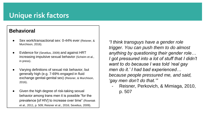#### **Behavioral**

- Sex work/transactional sex: 0-44% ever (Reisner, & Murchison, 2016).
- Evidence for (Sevelius, 2009) and against HRT increasing impulsive sexual behavior (Scheim et al., in press).
- Varying definitions of sexual risk behavior, but generally high (e.g. 7-69% engaged in fluid exchange genital-genital sex) (Reisner, & Murchison, 2016).
- Given the high degree of risk-taking sexual behavior among trans men it is possible "for the prevalence [of HIV] to increase over time" (Rowniak et al., 2011, p. 509; Reisner et al., 2016; Sevelius, 2009).

*"I think transguys have a gender role trigger. You can push them to do almost anything by questioning their gender role… I got pressured into a lot of stuff that I didn't want to do because I was told 'real gay men do it.' I had bad experienced… because people pressured me, and said, 'gay men don't do that.'"*

- Reisner, Perkovich, & Mimiaga, 2010, p. 507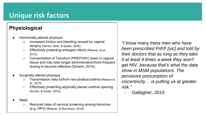### **Physiological**

- Hormonally altered physique
	- o Increased friction and bleeding caused by vaginal atrophy (Gorton, Buth, & Spade, 2005).
	- o Effectively protecting enlarged clitoris (Reisner, et al., 2010).
	- o Concentration of Tenofovir (PREP/HIV) lower in vaginal tissue and may take longer administration/more frequent dosing to become effective (Scheim, 2015).
- Surgically altered physique
	- o Transmission risks to/from neo-phallus/urethra (Reisner et al., 2010).
	- o Effectively protecting atypically placed urethral opening (Kivisto, & Xavier, 2016).
- **Natal** 
	- o Reduced rates of cervical screening among transmen (e.g. HPV) (Reisner, & Murchison, 2016).

*"I know many trans men who have been prescribed PrEP [sic] and told by their doctors that as long as they take it at least 4 times a week they won't get HIV, because that's what the data show in MSM populations. The pervasive presumption of ciscentricity… is putting us at greater risk."*

- *Gallagher, 2015*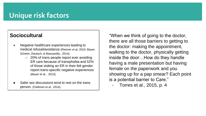### **Sociocultural**

- Negative healthcare experiences leading to medical refusal/avoidance (Reisner et al, 2010; Bauer, Scheim, Deutsch, & Massarella., 2014).
	- o 20% of trans people report ever avoiding ER care because of transphobia and 52% of those visiting an ER in their felt gender report trans-specific negative experiences (Bauer et al., 2013).
- Safer sex discussions tend to rest on the trans person. (Feldman et al., 2014).

"When we think of going to the doctor, there are all those barriers to getting to the doctor: making the appointment, walking to the doctor, physically getting inside the door…How do they handle having a male presentation but having female on the paperwork and you showing up for a pap smear? Each point is a potential barrier to Care."

- Torres et al., 2015, p. 4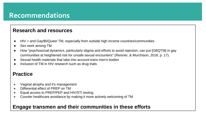### **Recommendations**

#### **Research and resources**

- HIV + and Gay/Bi/Queer TM, especially from outside high income countries/communities
- Sex work among TM
- How "psychosocial dynamics, particularly stigma and efforts to avoid rejection, can put [GBQTM] in gay communities at heightened risk for unsafe sexual encounters" (Reisner, & Murchison, 2016, p. 17).
- Sexual health materials that take into account trans men's bodies
- Inclusion of TM in HIV research such as drug trials

#### **Practice**

- Vaginal atrophy and it's management
- Differential effect of PREP on TM
- Equal access to PREP/PEP and HIV/STI testing
- Counter healthcare avoidance by making it more actively welcoming of TM

### **Engage transmen and their communities in these efforts**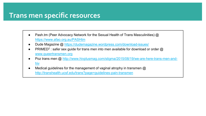### **Trans men specific resources**

- Pash.tm (Peer Advocacy Network for the Sexual Health of Trans Masculinities)  $\omega$ <https://www.afao.org.au/PASHtm>
- Dude Magazine @<https://dudemagazine.wordpress.com/download-issues/>
- PRIMED<sup>2</sup>: safer sex guide for trans men into men available for download or order  $@$ [www.queertransmen.org](http://www.queertransmen.org)
- Poz [trans men @ http://www.hivplusmag.com/stigma/2015/08/19/we-are-here-trans-men-and](http://www.hivplusmag.com/stigma/2015/08/19/we-are-here-trans-men-and-hiv)hiv
- Medical guidelines for the management of vaginal atrophy in transmen  $@$ <http://transhealth.ucsf.edu/trans?page=guidelines-pain-transmen>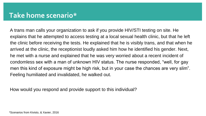A trans man calls your organization to ask if you provide HIV/STI testing on site. He explains that he attempted to access testing at a local sexual health clinic, but that he left the clinic before receiving the tests. He explained that he is visibly trans, and that when he arrived at the clinic, the receptionist loudly asked him how he identified his gender. Next, he met with a nurse and explained that he was very worried about a recent incident of condomless sex with a man of unknown HIV status. The nurse responded, "well, for gay men this kind of exposure might be high risk, but in your case the chances are very slim". Feeling humiliated and invalidated, he walked out.

How would you respond and provide support to this individual?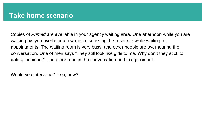Copies of *Primed* are available in your agency waiting area. One afternoon while you are walking by, you overhear a few men discussing the resource while waiting for appointments. The waiting room is very busy, and other people are overhearing the conversation. One of men says "They still look like girls to me. Why don't they stick to dating lesbians?" The other men in the conversation nod in agreement.

Would you intervene? If so, how?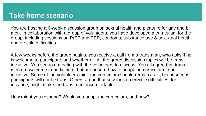You are hosting a 6-week discussion group on sexual health and pleasure for gay and bi men. In collaboration with a group of volunteers, you have developed a curriculum for the group, including sessions on PrEP and PEP, condoms, substance use & sex, anal health, and erectile difficulties.

A few weeks before the group begins, you receive a call from a trans man, who asks if he is welcome to participate, and whether or not the group discussion topics will be transinclusive. You set up a meeting with the volunteers to discuss. You all agree that trans men are welcome to participate, but are unsure how to adapt the curriculum to be inclusive. Some of the volunteers think the curriculum should remain as is, because most participants will not be trans. Others argue that sessions on erectile difficulties, for instance, might make the trans man uncomfortable.

How might you respond? Would you adapt the curriculum, and how?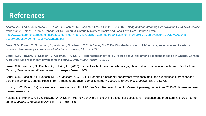### **References**

Adams, A., Lundie, M., Marshall, Z., Pires, R., Scanlon, K., Scheim, A.I.M., & Smith, T. (2008). *Getting primed: Informing HIV prevention with gay/bi/queer trans men in Ontario*. Toronto, Canada: AIDS Bureau, & Ontario Ministry of Health and Long-Term Care. Retrieved from [http://www.actoronto.ca/research.nsf/pages/gettingprimed/\\$file/Getting%20primed%20-%20informing%20HIV%20prevention%20with%20gay-bi](http://www.actoronto.ca/research.nsf/pages/gettingprimed/$file/Getting%20primed%20-%20informing%20HIV%20prevention%20with%20gay-bi-queer%20trans%20men%20in%20Ontario.pdf)queer%20trans%20men%20in%20Ontario.pdf

Baral, S.D., Poteat, T., Stromdahl, S., Wirtz, A.I., Guadamuz, T.E., & Beyer, C. (2013). Worldwide burden of HIV in transgender women: A systematic review and meta-analysis. *The Lancet Infectious Diseases*, 13, p. 214-222.

Bauer, G.R., Travers, R., Scanlon, K., Coleman, T.A. (2012). High heterogeneity of HIV-related sexual risk among transgender people in Ontario, Canada: A province-wide respondent-driven sampling survey. *BMC Public Health*, 12(292).

Bauer, G.R., Redman, N., Bradley, K., Scheim, A.I. (2013). Sexual health of trans men who are gay, bisexual, or who have sex with men: Results from Ontario, Canada. *International Journal of Transgenderism*. 14(2).

Bauer, G.R., Scheim, A.I., Deutsch, M.B., & Massarella, C. (2014). Reported emergency department avoidance, use, and experiences of transgender persons in Ontario, Canada: Results from a respondent-driven sampling surgery. *Annals of Emergency Medicine*, 63, p. 713-720.

Ermac, R. (2015, Aug 19). We are here: Trans men and HIV. HIV Plus Mag. Retrieved from http://www.hivplusmag.com/stigma/2015/08/19/we-are-heretrans-men-and-hiv.

Feldman, J., Romine, R.S., & Bockting, W.O. (2014). HIV risk behaviors in the U.S. transgender population: Prevalence and predictors in a large internet sample. *Journal of Homosexuality*, 61(11), p. 1558-1588.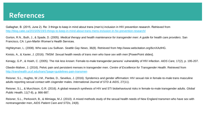### **References**

Gallagher, B. (2015, June 2). Re: 3 things to keep in mind about trans (men's) inclusion in HIV prevention research. Retrieved from <http://blog.catie.ca/2015/05/19/3-things-to-keep-in-mind-about-trans-mens-inclusion-in-hiv-prevention-research/>

Gorton, R.N., Buth, J., & Spade, D. (2005). *Medical therapy and health maintenance for transgender men: A guide for health care providers*. San Francisco, CA: Lyon-Martin Women's Health Services.

Highleyman, L. (2008). Who was Lou Sullivan. *Seattle Gay News*, 36(8). Retrieved from http://www.webcitation.org/6cnXAzlHG.

Kivisto, A., & Xavier, J. (2016). *TMSM: Sexual health needs of trans men who have sex with men* [PowerPoint slides].

Kenagy, G.P., & Hsieh, C. (2005). The risk less known: Female-to-male transgender persons' vulnerability of HIV infection. *AIDS Care,* 17(2), p. 195-207.

Obedin-Maliver, J. (2016). Pelvic pain and persistent menses in transgender men. *Centre of Excellence for Transgender Health*. Retrieved from <http://transhealth.ucsf.edu/trans?page=guidelines-pain-transmen>

Reisner, S.L., Hughto, W.J.M., Pardee, D., Sevelius, J. (2016). Syndemics and gender affirmation: HIV sexual risk in female-to-male trans masculine adults reporting sexual contact with cisgender males. *International Journal of STD & AIDS*, 27(11).

Reisner, S.L., & Murchison, G.R. (2016). A global research synthesis of HIV and STI biobehavioural risks in female-to-male transgender adults. *Global Public Health*, 11(7-8), p. 866-887.

Reisner, S.L., Perkovich, B., & Mimiaga, M.J. (2010). A mixed methods study of the sexual health needs of New England transmen who have sex with nontransgender men, *AIDS Patient Care and STDs*, 24(8).